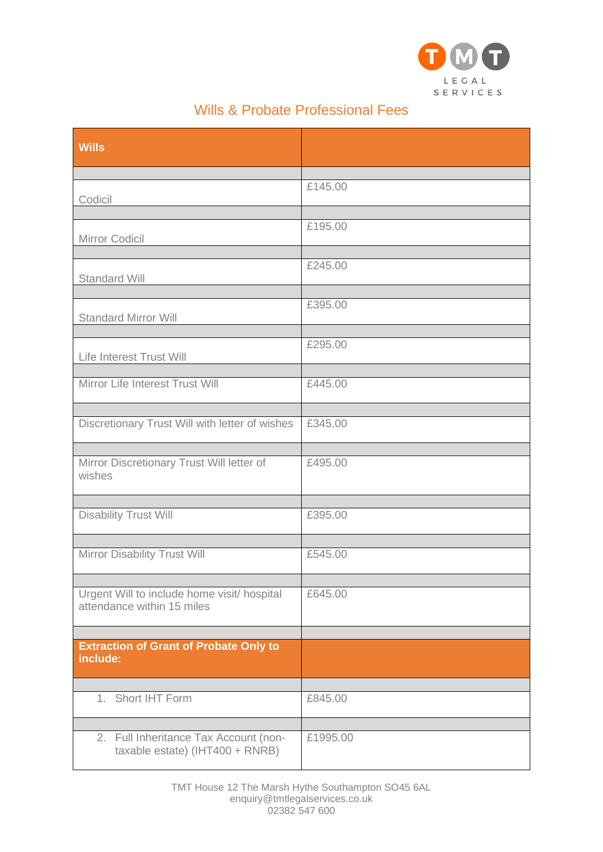

## Wills & Probate Professional Fees

| <b>Wills</b>                                                              |          |
|---------------------------------------------------------------------------|----------|
| Codicil                                                                   | £145.00  |
| Mirror Codicil                                                            | £195.00  |
| <b>Standard Will</b>                                                      | £245.00  |
| <b>Standard Mirror Will</b>                                               | £395.00  |
| Life Interest Trust Will                                                  | £295.00  |
| Mirror Life Interest Trust Will                                           | £445.00  |
| Discretionary Trust Will with letter of wishes                            | £345.00  |
| Mirror Discretionary Trust Will letter of<br>wishes                       | £495.00  |
| <b>Disability Trust Will</b>                                              | £395.00  |
| Mirror Disability Trust Will                                              | £545.00  |
| Urgent Will to include home visit/ hospital<br>attendance within 15 miles | £645.00  |
| <b>Extraction of Grant of Probate Only to</b><br>include:                 |          |
| 1. Short IHT Form                                                         | £845.00  |
| 2. Full Inheritance Tax Account (non-<br>taxable estate) (IHT400 + RNRB)  | £1995.00 |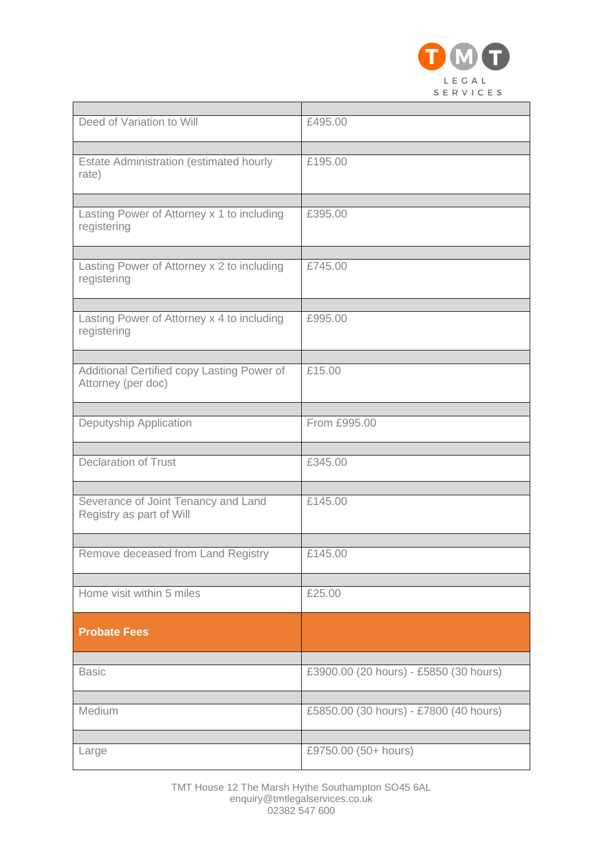

| Deed of Variation to Will                                        | £495.00                                |
|------------------------------------------------------------------|----------------------------------------|
| <b>Estate Administration (estimated hourly</b><br>rate)          | £195.00                                |
| Lasting Power of Attorney x 1 to including                       | £395.00                                |
| registering                                                      |                                        |
| Lasting Power of Attorney x 2 to including<br>registering        | £745.00                                |
| Lasting Power of Attorney x 4 to including<br>registering        | £995.00                                |
| Additional Certified copy Lasting Power of<br>Attorney (per doc) | £15.00                                 |
| Deputyship Application                                           | From £995.00                           |
| <b>Declaration of Trust</b>                                      | £345.00                                |
| Severance of Joint Tenancy and Land<br>Registry as part of Will  | £145.00                                |
| Remove deceased from Land Registry                               | £145.00                                |
| Home visit within 5 miles                                        | £25.00                                 |
| <b>Probate Fees</b>                                              |                                        |
| <b>Basic</b>                                                     | £3900.00 (20 hours) - £5850 (30 hours) |
| Medium                                                           | £5850.00 (30 hours) - £7800 (40 hours) |
| Large                                                            | £9750.00 (50+ hours)                   |